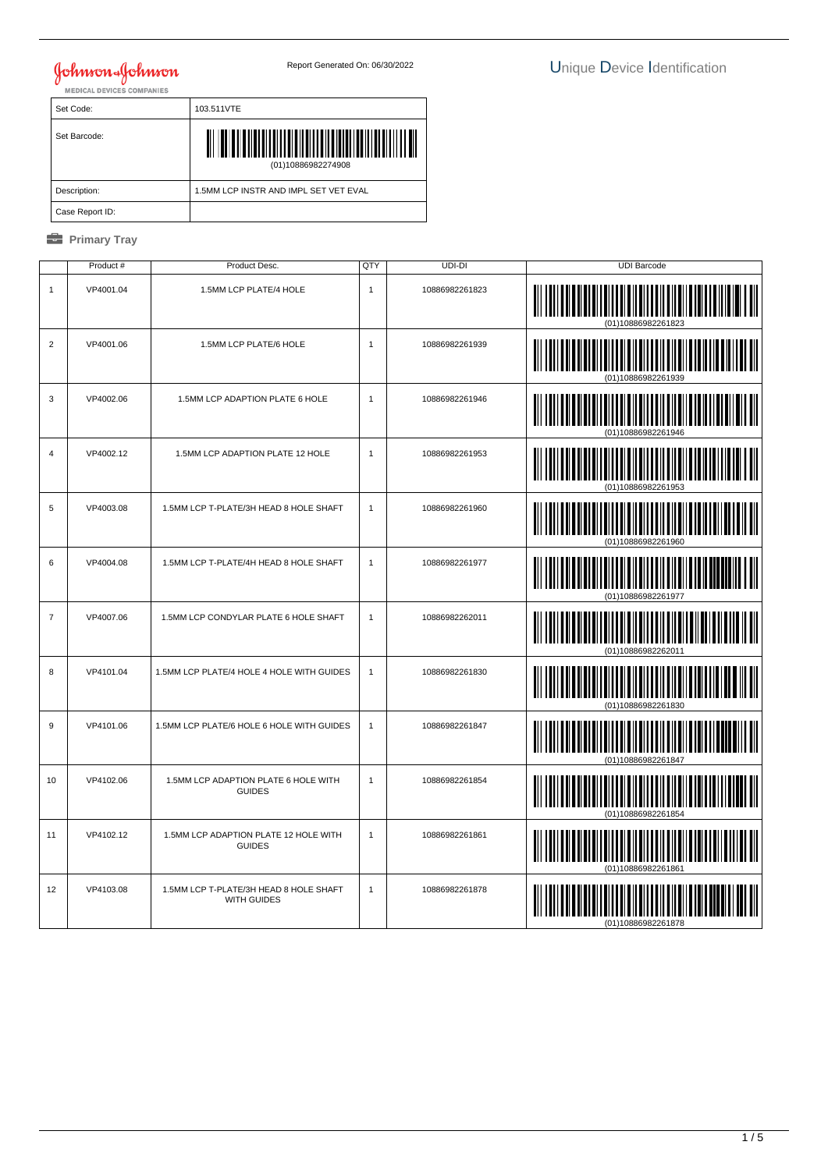| Set Code:       | 103.511VTE                            |
|-----------------|---------------------------------------|
| Set Barcode:    | (01)10886982274908                    |
| Description:    | 1.5MM LCP INSTR AND IMPL SET VET EVAL |
| Case Report ID: |                                       |

|                | Product#  | Product Desc.                                                | QTY          | UDI-DI         | <b>UDI Barcode</b>                     |
|----------------|-----------|--------------------------------------------------------------|--------------|----------------|----------------------------------------|
| $\mathbf{1}$   | VP4001.04 | 1.5MM LCP PLATE/4 HOLE                                       | $\mathbf{1}$ | 10886982261823 | (01)10886982261823                     |
| $\overline{2}$ | VP4001.06 | 1.5MM LCP PLATE/6 HOLE                                       | $\mathbf{1}$ | 10886982261939 | (01)10886982261939                     |
| 3              | VP4002.06 | 1.5MM LCP ADAPTION PLATE 6 HOLE                              | $\mathbf{1}$ | 10886982261946 |                                        |
| $\overline{4}$ | VP4002.12 | 1.5MM LCP ADAPTION PLATE 12 HOLE                             | $\mathbf{1}$ | 10886982261953 | <u> IIIIIIIIIIIIIIIIII</u><br>IIII III |
| 5              | VP4003.08 | 1.5MM LCP T-PLATE/3H HEAD 8 HOLE SHAFT                       | $\mathbf{1}$ | 10886982261960 | <u>               </u><br>∭∭           |
| 6              | VP4004.08 | 1.5MM LCP T-PLATE/4H HEAD 8 HOLE SHAFT                       | $\mathbf{1}$ | 10886982261977 | <b>TITULITII</b><br>III III            |
| $\overline{7}$ | VP4007.06 | 1.5MM LCP CONDYLAR PLATE 6 HOLE SHAFT                        | $\mathbf{1}$ | 10886982262011 |                                        |
| 8              | VP4101.04 | 1.5MM LCP PLATE/4 HOLE 4 HOLE WITH GUIDES                    | $\mathbf{1}$ | 10886982261830 |                                        |
| $\overline{9}$ | VP4101.06 | 1.5MM LCP PLATE/6 HOLE 6 HOLE WITH GUIDES                    | $\mathbf{1}$ | 10886982261847 |                                        |
| 10             | VP4102.06 | 1.5MM LCP ADAPTION PLATE 6 HOLE WITH<br><b>GUIDES</b>        | $\mathbf{1}$ | 10886982261854 |                                        |
| 11             | VP4102.12 | 1.5MM LCP ADAPTION PLATE 12 HOLE WITH<br><b>GUIDES</b>       | $\mathbf{1}$ | 10886982261861 | (01)10886982261861                     |
| 12             | VP4103.08 | 1.5MM LCP T-PLATE/3H HEAD 8 HOLE SHAFT<br><b>WITH GUIDES</b> | $\mathbf{1}$ | 10886982261878 |                                        |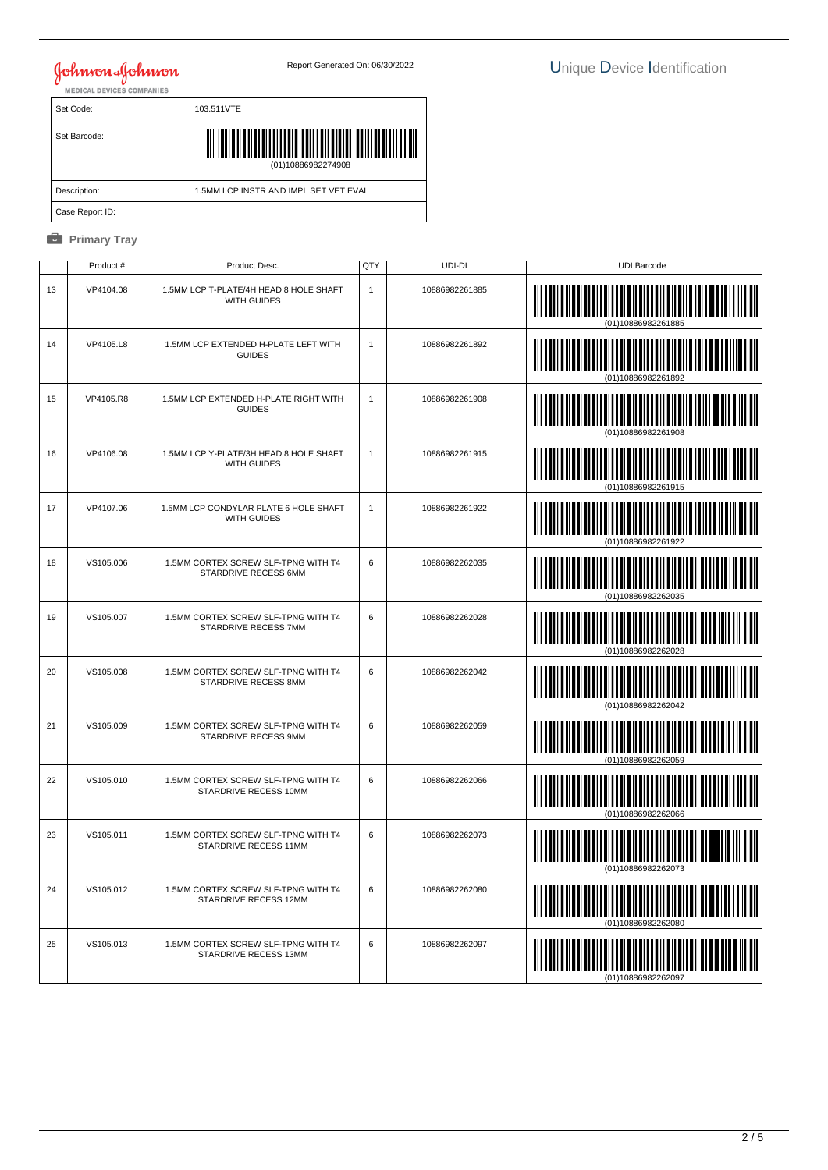| Set Code:       | 103.511VTE                            |
|-----------------|---------------------------------------|
| Set Barcode:    | <b>THULLE</b><br>(01)10886982274908   |
| Description:    | 1.5MM LCP INSTR AND IMPL SET VET EVAL |
| Case Report ID: |                                       |

|    | Product # | Product Desc.                                                | QTY          | $UDI-DI$       | <b>UDI Barcode</b> |
|----|-----------|--------------------------------------------------------------|--------------|----------------|--------------------|
| 13 | VP4104.08 | 1.5MM LCP T-PLATE/4H HEAD 8 HOLE SHAFT<br>WITH GUIDES        | $\mathbf{1}$ | 10886982261885 | (01)10886982261885 |
| 14 | VP4105.L8 | 1.5MM LCP EXTENDED H-PLATE LEFT WITH<br><b>GUIDES</b>        | $\mathbf{1}$ | 10886982261892 |                    |
| 15 | VP4105.R8 | 1.5MM LCP EXTENDED H-PLATE RIGHT WITH<br><b>GUIDES</b>       | $\mathbf{1}$ | 10886982261908 | IIII               |
| 16 | VP4106.08 | 1.5MM LCP Y-PLATE/3H HEAD 8 HOLE SHAFT<br><b>WITH GUIDES</b> | $\mathbf{1}$ | 10886982261915 | ║║║                |
| 17 | VP4107.06 | 1.5MM LCP CONDYLAR PLATE 6 HOLE SHAFT<br><b>WITH GUIDES</b>  | $\mathbf{1}$ | 10886982261922 |                    |
| 18 | VS105.006 | 1.5MM CORTEX SCREW SLF-TPNG WITH T4<br>STARDRIVE RECESS 6MM  | 6            | 10886982262035 |                    |
| 19 | VS105.007 | 1.5MM CORTEX SCREW SLF-TPNG WITH T4<br>STARDRIVE RECESS 7MM  | 6            | 10886982262028 |                    |
| 20 | VS105.008 | 1.5MM CORTEX SCREW SLF-TPNG WITH T4<br>STARDRIVE RECESS 8MM  | 6            | 10886982262042 |                    |
| 21 | VS105.009 | 1.5MM CORTEX SCREW SLF-TPNG WITH T4<br>STARDRIVE RECESS 9MM  | 6            | 10886982262059 |                    |
| 22 | VS105.010 | 1.5MM CORTEX SCREW SLF-TPNG WITH T4<br>STARDRIVE RECESS 10MM | 6            | 10886982262066 |                    |
| 23 | VS105.011 | 1.5MM CORTEX SCREW SLF-TPNG WITH T4<br>STARDRIVE RECESS 11MM | 6            | 10886982262073 |                    |
| 24 | VS105.012 | 1.5MM CORTEX SCREW SLF-TPNG WITH T4<br>STARDRIVE RECESS 12MM | 6            | 10886982262080 | (01)10886982262080 |
| 25 | VS105.013 | 1.5MM CORTEX SCREW SLF-TPNG WITH T4<br>STARDRIVE RECESS 13MM | 6            | 10886982262097 |                    |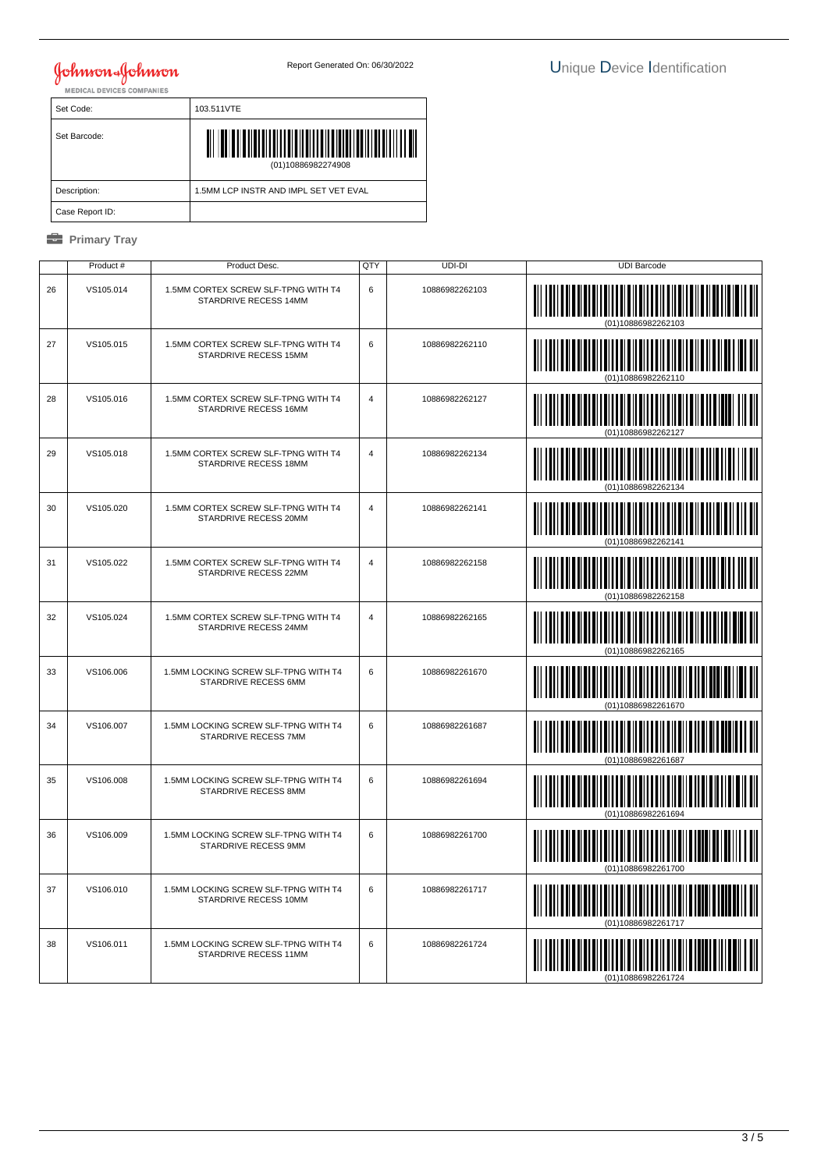| Set Code:       | 103.511VTE                                      |
|-----------------|-------------------------------------------------|
| Set Barcode:    | <u>TIITII TIITII TIIT</u><br>(01)10886982274908 |
| Description:    | 1.5MM LCP INSTR AND IMPL SET VET EVAL           |
| Case Report ID: |                                                 |

|    | Product # | Product Desc.                                                 | QTY            | UDI-DI         | <b>UDI Barcode</b>                                                |
|----|-----------|---------------------------------------------------------------|----------------|----------------|-------------------------------------------------------------------|
| 26 | VS105.014 | 1.5MM CORTEX SCREW SLF-TPNG WITH T4<br>STARDRIVE RECESS 14MM  | 6              | 10886982262103 | (01)10886982262103                                                |
| 27 | VS105.015 | 1.5MM CORTEX SCREW SLF-TPNG WITH T4<br>STARDRIVE RECESS 15MM  | 6              | 10886982262110 |                                                                   |
| 28 | VS105.016 | 1.5MM CORTEX SCREW SLF-TPNG WITH T4<br>STARDRIVE RECESS 16MM  | $\overline{4}$ | 10886982262127 |                                                                   |
| 29 | VS105.018 | 1.5MM CORTEX SCREW SLF-TPNG WITH T4<br>STARDRIVE RECESS 18MM  | $\overline{4}$ | 10886982262134 |                                                                   |
| 30 | VS105.020 | 1.5MM CORTEX SCREW SLF-TPNG WITH T4<br>STARDRIVE RECESS 20MM  | 4              | 10886982262141 |                                                                   |
| 31 | VS105.022 | 1.5MM CORTEX SCREW SLF-TPNG WITH T4<br>STARDRIVE RECESS 22MM  | $\overline{4}$ | 10886982262158 |                                                                   |
| 32 | VS105.024 | 1.5MM CORTEX SCREW SLF-TPNG WITH T4<br>STARDRIVE RECESS 24MM  | $\overline{4}$ | 10886982262165 |                                                                   |
| 33 | VS106.006 | 1.5MM LOCKING SCREW SLF-TPNG WITH T4<br>STARDRIVE RECESS 6MM  | 6              | 10886982261670 |                                                                   |
| 34 | VS106.007 | 1.5MM LOCKING SCREW SLF-TPNG WITH T4<br>STARDRIVE RECESS 7MM  | 6              | 10886982261687 |                                                                   |
| 35 | VS106.008 | 1.5MM LOCKING SCREW SLF-TPNG WITH T4<br>STARDRIVE RECESS 8MM  | 6              | 10886982261694 |                                                                   |
| 36 | VS106.009 | 1.5MM LOCKING SCREW SLF-TPNG WITH T4<br>STARDRIVE RECESS 9MM  | 6              | 10886982261700 |                                                                   |
| 37 | VS106.010 | 1.5MM LOCKING SCREW SLF-TPNG WITH T4<br>STARDRIVE RECESS 10MM | 6              | 10886982261717 | <u>i oli oli oli oli oli oli oli oli ol</u><br>(01)10886982261717 |
| 38 | VS106.011 | 1.5MM LOCKING SCREW SLF-TPNG WITH T4<br>STARDRIVE RECESS 11MM | 6              | 10886982261724 |                                                                   |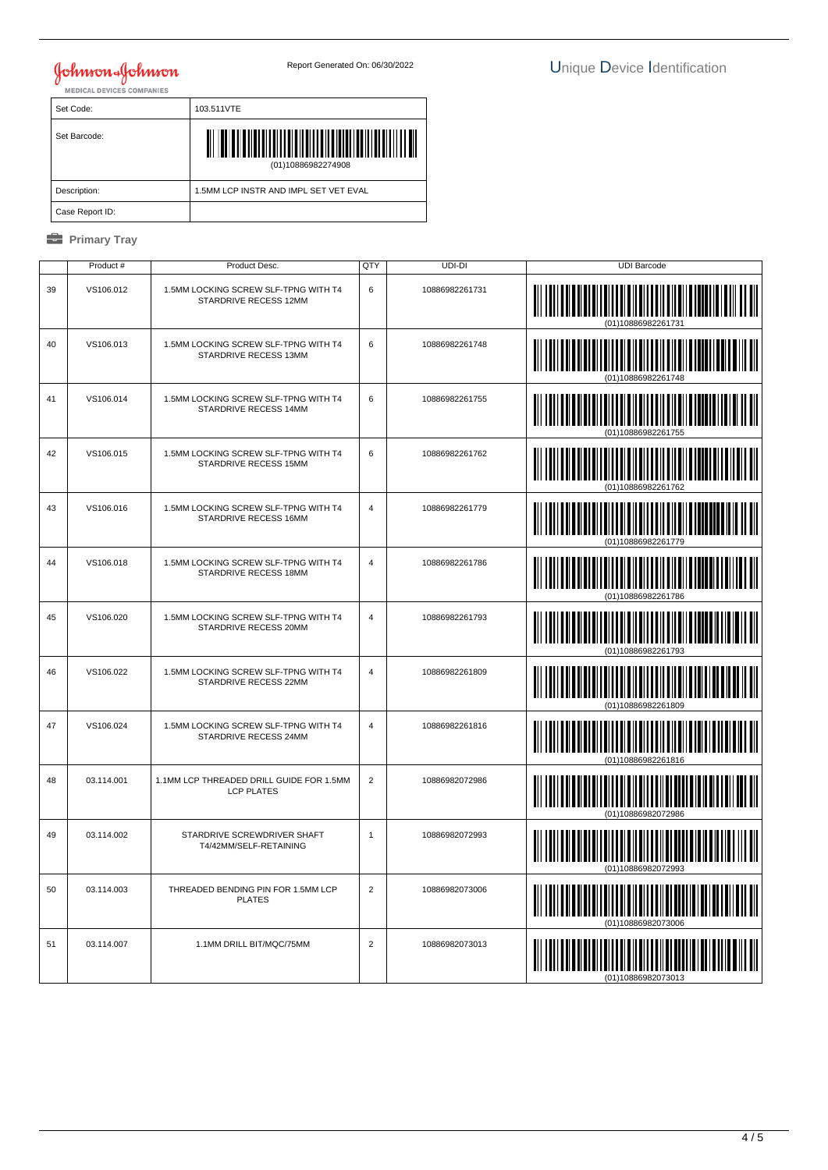| Set Code:       | 103.511VTE                                      |
|-----------------|-------------------------------------------------|
| Set Barcode:    | <u>TIITII TIITII TIIT</u><br>(01)10886982274908 |
| Description:    | 1.5MM LCP INSTR AND IMPL SET VET EVAL           |
| Case Report ID: |                                                 |

|    | Product#   | Product Desc.                                                 | QTY            | UDI-DI         | <b>UDI Barcode</b> |
|----|------------|---------------------------------------------------------------|----------------|----------------|--------------------|
| 39 | VS106.012  | 1.5MM LOCKING SCREW SLF-TPNG WITH T4<br>STARDRIVE RECESS 12MM | 6              | 10886982261731 | (01)10886982261731 |
| 40 | VS106.013  | 1.5MM LOCKING SCREW SLF-TPNG WITH T4<br>STARDRIVE RECESS 13MM | 6              | 10886982261748 |                    |
| 41 | VS106.014  | 1.5MM LOCKING SCREW SLF-TPNG WITH T4<br>STARDRIVE RECESS 14MM | 6              | 10886982261755 |                    |
| 42 | VS106.015  | 1.5MM LOCKING SCREW SLF-TPNG WITH T4<br>STARDRIVE RECESS 15MM | 6              | 10886982261762 |                    |
| 43 | VS106.016  | 1.5MM LOCKING SCREW SLF-TPNG WITH T4<br>STARDRIVE RECESS 16MM | 4              | 10886982261779 |                    |
| 44 | VS106.018  | 1.5MM LOCKING SCREW SLF-TPNG WITH T4<br>STARDRIVE RECESS 18MM | $\overline{4}$ | 10886982261786 |                    |
| 45 | VS106.020  | 1.5MM LOCKING SCREW SLF-TPNG WITH T4<br>STARDRIVE RECESS 20MM | $\overline{4}$ | 10886982261793 |                    |
| 46 | VS106.022  | 1.5MM LOCKING SCREW SLF-TPNG WITH T4<br>STARDRIVE RECESS 22MM | $\overline{4}$ | 10886982261809 |                    |
| 47 | VS106.024  | 1.5MM LOCKING SCREW SLF-TPNG WITH T4<br>STARDRIVE RECESS 24MM | $\overline{4}$ | 10886982261816 | (01)10886982261816 |
| 48 | 03.114.001 | 1.1MM LCP THREADED DRILL GUIDE FOR 1.5MM<br><b>LCP PLATES</b> | $\overline{2}$ | 10886982072986 |                    |
| 49 | 03.114.002 | STARDRIVE SCREWDRIVER SHAFT<br>T4/42MM/SELF-RETAINING         | $\mathbf{1}$   | 10886982072993 |                    |
| 50 | 03.114.003 | THREADED BENDING PIN FOR 1.5MM LCP<br><b>PLATES</b>           | $\overline{2}$ | 10886982073006 | (01)10886982073006 |
| 51 | 03.114.007 | 1.1MM DRILL BIT/MQC/75MM                                      | $\overline{2}$ | 10886982073013 |                    |